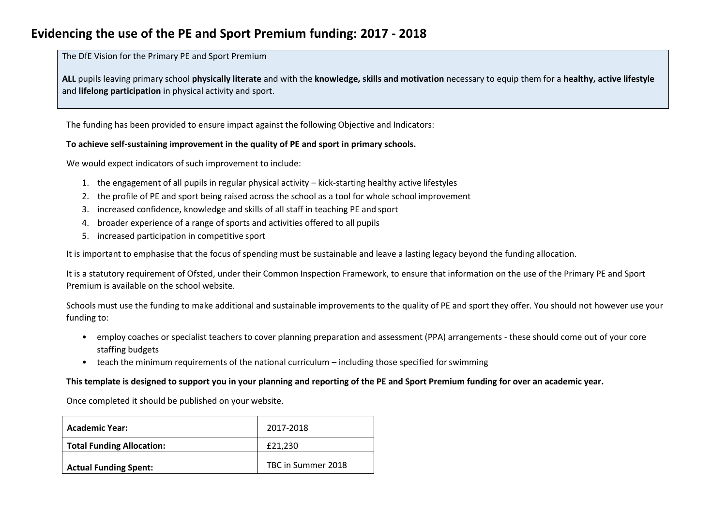## **Evidencing the use of the PE and Sport Premium funding: 2017 - 2018**

The DfE Vision for the Primary PE and Sport Premium

**ALL** pupils leaving primary school **physically literate** and with the **knowledge, skills and motivation** necessary to equip them for a **healthy, active lifestyle** and **lifelong participation** in physical activity and sport.

The funding has been provided to ensure impact against the following Objective and Indicators:

#### **To achieve self-sustaining improvement in the quality of PE and sport in primary schools.**

We would expect indicators of such improvement to include:

- 1. the engagement of all pupils in regular physical activity kick-starting healthy active lifestyles
- 2. the profile of PE and sport being raised across the school as a tool for whole school improvement
- 3. increased confidence, knowledge and skills of all staff in teaching PE and sport
- 4. broader experience of a range of sports and activities offered to all pupils
- 5. increased participation in competitive sport

It is important to emphasise that the focus of spending must be sustainable and leave a lasting legacy beyond the funding allocation.

It is a statutory requirement of Ofsted, under their Common Inspection Framework, to ensure that information on the use of the Primary PE and Sport Premium is available on the school website.

Schools must use the funding to make additional and sustainable improvements to the quality of PE and sport they offer. You should not however use your funding to:

- employ coaches or specialist teachers to cover planning preparation and assessment (PPA) arrangements these should come out of your core staffing budgets
- teach the minimum requirements of the national curriculum including those specified for swimming

#### **This template is designed to support you in your planning and reporting of the PE and Sport Premium funding for over an academic year.**

Once completed it should be published on your website.

| <b>Academic Year:</b>            | 2017-2018          |
|----------------------------------|--------------------|
| <b>Total Funding Allocation:</b> | £21.230            |
| <b>Actual Funding Spent:</b>     | TBC in Summer 2018 |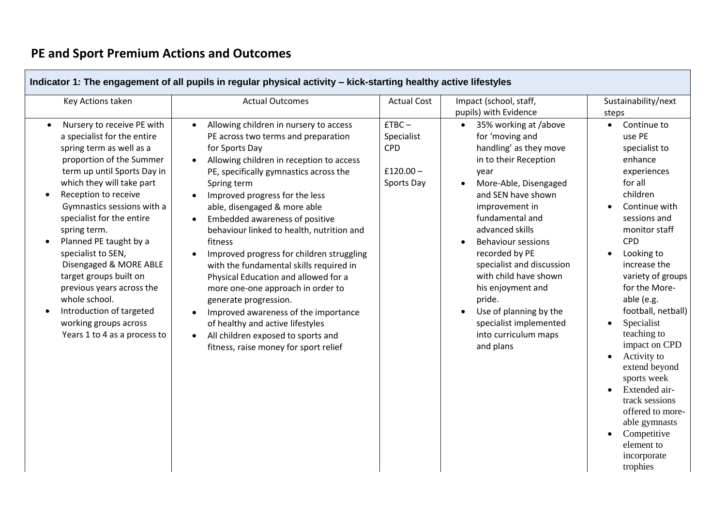# **PE and Sport Premium Actions and Outcomes**

| Indicator 1: The engagement of all pupils in regular physical activity - kick-starting healthy active lifestyles                                                                                                                                                                                                                                                                                                                                                                                                                                               |                                                                                                                                                                                                                                                                                                                                                                                                                                                                                                                                                                                                                                                                                                                                        |                                                                  |                                                                                                                                                                                                                                                                                                                                                                                                                                                                   |                                                                                                                                                                                                                                                                                                                                                                                                                                                                                                                                     |  |
|----------------------------------------------------------------------------------------------------------------------------------------------------------------------------------------------------------------------------------------------------------------------------------------------------------------------------------------------------------------------------------------------------------------------------------------------------------------------------------------------------------------------------------------------------------------|----------------------------------------------------------------------------------------------------------------------------------------------------------------------------------------------------------------------------------------------------------------------------------------------------------------------------------------------------------------------------------------------------------------------------------------------------------------------------------------------------------------------------------------------------------------------------------------------------------------------------------------------------------------------------------------------------------------------------------------|------------------------------------------------------------------|-------------------------------------------------------------------------------------------------------------------------------------------------------------------------------------------------------------------------------------------------------------------------------------------------------------------------------------------------------------------------------------------------------------------------------------------------------------------|-------------------------------------------------------------------------------------------------------------------------------------------------------------------------------------------------------------------------------------------------------------------------------------------------------------------------------------------------------------------------------------------------------------------------------------------------------------------------------------------------------------------------------------|--|
| Key Actions taken                                                                                                                                                                                                                                                                                                                                                                                                                                                                                                                                              | <b>Actual Outcomes</b>                                                                                                                                                                                                                                                                                                                                                                                                                                                                                                                                                                                                                                                                                                                 | <b>Actual Cost</b>                                               | Impact (school, staff,<br>pupils) with Evidence                                                                                                                                                                                                                                                                                                                                                                                                                   | Sustainability/next<br>steps                                                                                                                                                                                                                                                                                                                                                                                                                                                                                                        |  |
| Nursery to receive PE with<br>$\bullet$<br>a specialist for the entire<br>spring term as well as a<br>proportion of the Summer<br>term up until Sports Day in<br>which they will take part<br>Reception to receive<br>$\bullet$<br>Gymnastics sessions with a<br>specialist for the entire<br>spring term.<br>Planned PE taught by a<br>specialist to SEN,<br>Disengaged & MORE ABLE<br>target groups built on<br>previous years across the<br>whole school.<br>Introduction of targeted<br>$\bullet$<br>working groups across<br>Years 1 to 4 as a process to | Allowing children in nursery to access<br>$\bullet$<br>PE across two terms and preparation<br>for Sports Day<br>Allowing children in reception to access<br>PE, specifically gymnastics across the<br>Spring term<br>Improved progress for the less<br>able, disengaged & more able<br>Embedded awareness of positive<br>behaviour linked to health, nutrition and<br>fitness<br>Improved progress for children struggling<br>with the fundamental skills required in<br>Physical Education and allowed for a<br>more one-one approach in order to<br>generate progression.<br>Improved awareness of the importance<br>of healthy and active lifestyles<br>All children exposed to sports and<br>fitness, raise money for sport relief | $ETBC -$<br>Specialist<br><b>CPD</b><br>$£120.00-$<br>Sports Day | 35% working at /above<br>$\bullet$<br>for 'moving and<br>handling' as they move<br>in to their Reception<br>year<br>More-Able, Disengaged<br>and SEN have shown<br>improvement in<br>fundamental and<br>advanced skills<br><b>Behaviour sessions</b><br>recorded by PE<br>specialist and discussion<br>with child have shown<br>his enjoyment and<br>pride.<br>Use of planning by the<br>$\bullet$<br>specialist implemented<br>into curriculum maps<br>and plans | Continue to<br>$\bullet$<br>use PE<br>specialist to<br>enhance<br>experiences<br>for all<br>children<br>Continue with<br>sessions and<br>monitor staff<br><b>CPD</b><br>Looking to<br>$\bullet$<br>increase the<br>variety of groups<br>for the More-<br>able (e.g.<br>football, netball)<br>Specialist<br>teaching to<br>impact on CPD<br>Activity to<br>$\bullet$<br>extend beyond<br>sports week<br>Extended air-<br>track sessions<br>offered to more-<br>able gymnasts<br>Competitive<br>element to<br>incorporate<br>trophies |  |

÷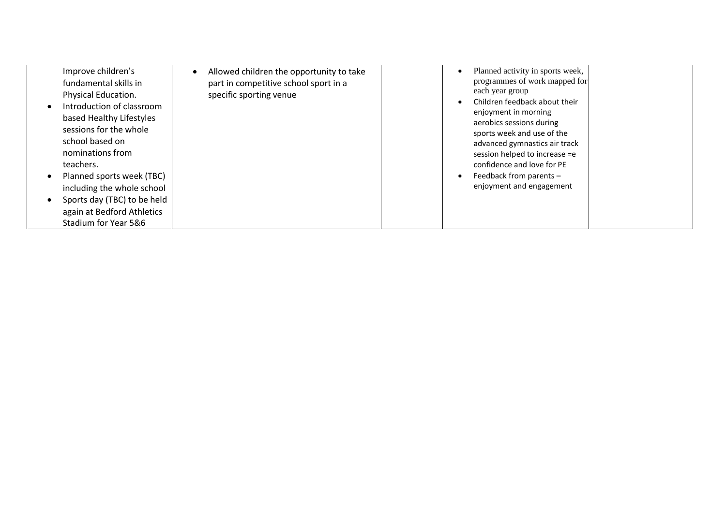|           | Improve children's<br>fundamental skills in<br>Physical Education.<br>Introduction of classroom<br>based Healthy Lifestyles<br>sessions for the whole<br>school based on<br>nominations from | Allowed children the opportunity to take<br>part in competitive school sport in a<br>specific sporting venue | each year group | Planned activity in sports week,<br>programmes of work mapped for<br>Children feedback about their<br>enjoyment in morning<br>aerobics sessions during<br>sports week and use of the<br>advanced gymnastics air track<br>session helped to increase =e |  |
|-----------|----------------------------------------------------------------------------------------------------------------------------------------------------------------------------------------------|--------------------------------------------------------------------------------------------------------------|-----------------|--------------------------------------------------------------------------------------------------------------------------------------------------------------------------------------------------------------------------------------------------------|--|
|           | teachers.                                                                                                                                                                                    |                                                                                                              |                 | confidence and love for PE                                                                                                                                                                                                                             |  |
|           | Planned sports week (TBC)                                                                                                                                                                    |                                                                                                              |                 | Feedback from parents -                                                                                                                                                                                                                                |  |
|           | including the whole school                                                                                                                                                                   |                                                                                                              |                 | enjoyment and engagement                                                                                                                                                                                                                               |  |
| $\bullet$ | Sports day (TBC) to be held                                                                                                                                                                  |                                                                                                              |                 |                                                                                                                                                                                                                                                        |  |
|           | again at Bedford Athletics                                                                                                                                                                   |                                                                                                              |                 |                                                                                                                                                                                                                                                        |  |
|           | Stadium for Year 5&6                                                                                                                                                                         |                                                                                                              |                 |                                                                                                                                                                                                                                                        |  |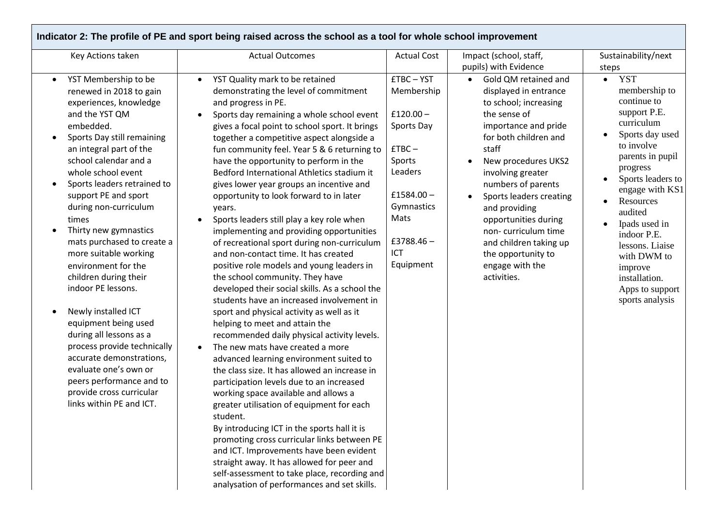|                                                                                                                                                                                                                                                                                                                                                                                                                                                                                                                                                                                                                                                                                                                                             | Indicator 2: The profile of PE and sport being raised across the school as a tool for whole school improvement                                                                                                                                                                                                                                                                                                                                                                                                                                                                                                                                                                                                                                                                                                                                                                                                                                                                                                                                                                                                                                                                                                                                                                                                                         |                                                                                                                                                                     |                                                                                                                                                                                                                                                                                                                                                                                                                                       |                                                                                                                                                                                                                                                                                                                                                            |
|---------------------------------------------------------------------------------------------------------------------------------------------------------------------------------------------------------------------------------------------------------------------------------------------------------------------------------------------------------------------------------------------------------------------------------------------------------------------------------------------------------------------------------------------------------------------------------------------------------------------------------------------------------------------------------------------------------------------------------------------|----------------------------------------------------------------------------------------------------------------------------------------------------------------------------------------------------------------------------------------------------------------------------------------------------------------------------------------------------------------------------------------------------------------------------------------------------------------------------------------------------------------------------------------------------------------------------------------------------------------------------------------------------------------------------------------------------------------------------------------------------------------------------------------------------------------------------------------------------------------------------------------------------------------------------------------------------------------------------------------------------------------------------------------------------------------------------------------------------------------------------------------------------------------------------------------------------------------------------------------------------------------------------------------------------------------------------------------|---------------------------------------------------------------------------------------------------------------------------------------------------------------------|---------------------------------------------------------------------------------------------------------------------------------------------------------------------------------------------------------------------------------------------------------------------------------------------------------------------------------------------------------------------------------------------------------------------------------------|------------------------------------------------------------------------------------------------------------------------------------------------------------------------------------------------------------------------------------------------------------------------------------------------------------------------------------------------------------|
| Key Actions taken                                                                                                                                                                                                                                                                                                                                                                                                                                                                                                                                                                                                                                                                                                                           | <b>Actual Outcomes</b>                                                                                                                                                                                                                                                                                                                                                                                                                                                                                                                                                                                                                                                                                                                                                                                                                                                                                                                                                                                                                                                                                                                                                                                                                                                                                                                 | <b>Actual Cost</b>                                                                                                                                                  | Impact (school, staff,                                                                                                                                                                                                                                                                                                                                                                                                                | Sustainability/next                                                                                                                                                                                                                                                                                                                                        |
|                                                                                                                                                                                                                                                                                                                                                                                                                                                                                                                                                                                                                                                                                                                                             |                                                                                                                                                                                                                                                                                                                                                                                                                                                                                                                                                                                                                                                                                                                                                                                                                                                                                                                                                                                                                                                                                                                                                                                                                                                                                                                                        |                                                                                                                                                                     |                                                                                                                                                                                                                                                                                                                                                                                                                                       | steps                                                                                                                                                                                                                                                                                                                                                      |
| YST Membership to be<br>$\bullet$<br>renewed in 2018 to gain<br>experiences, knowledge<br>and the YST QM<br>embedded.<br>Sports Day still remaining<br>an integral part of the<br>school calendar and a<br>whole school event<br>Sports leaders retrained to<br>$\bullet$<br>support PE and sport<br>during non-curriculum<br>times<br>Thirty new gymnastics<br>mats purchased to create a<br>more suitable working<br>environment for the<br>children during their<br>indoor PE lessons.<br>Newly installed ICT<br>equipment being used<br>during all lessons as a<br>process provide technically<br>accurate demonstrations,<br>evaluate one's own or<br>peers performance and to<br>provide cross curricular<br>links within PE and ICT. | YST Quality mark to be retained<br>$\bullet$<br>demonstrating the level of commitment<br>and progress in PE.<br>Sports day remaining a whole school event<br>gives a focal point to school sport. It brings<br>together a competitive aspect alongside a<br>fun community feel. Year 5 & 6 returning to<br>have the opportunity to perform in the<br>Bedford International Athletics stadium it<br>gives lower year groups an incentive and<br>opportunity to look forward to in later<br>years.<br>Sports leaders still play a key role when<br>implementing and providing opportunities<br>of recreational sport during non-curriculum<br>and non-contact time. It has created<br>positive role models and young leaders in<br>the school community. They have<br>developed their social skills. As a school the<br>students have an increased involvement in<br>sport and physical activity as well as it<br>helping to meet and attain the<br>recommended daily physical activity levels.<br>The new mats have created a more<br>$\bullet$<br>advanced learning environment suited to<br>the class size. It has allowed an increase in<br>participation levels due to an increased<br>working space available and allows a<br>greater utilisation of equipment for each<br>student.<br>By introducing ICT in the sports hall it is | <b>£TBC-YST</b><br>Membership<br>£120.00 $-$<br>Sports Day<br>$ETBC -$<br>Sports<br>Leaders<br>$£1584.00-$<br>Gymnastics<br>Mats<br>$£3788.46-$<br>ICT<br>Equipment | pupils) with Evidence<br>Gold QM retained and<br>$\bullet$<br>displayed in entrance<br>to school; increasing<br>the sense of<br>importance and pride<br>for both children and<br>staff<br>New procedures UKS2<br>involving greater<br>numbers of parents<br>Sports leaders creating<br>and providing<br>opportunities during<br>non-curriculum time<br>and children taking up<br>the opportunity to<br>engage with the<br>activities. | <b>YST</b><br>$\bullet$<br>membership to<br>continue to<br>support P.E.<br>curriculum<br>Sports day used<br>to involve<br>parents in pupil<br>progress<br>Sports leaders to<br>engage with KS1<br>Resources<br>audited<br>Ipads used in<br>indoor P.E.<br>lessons. Liaise<br>with DWM to<br>improve<br>installation.<br>Apps to support<br>sports analysis |
|                                                                                                                                                                                                                                                                                                                                                                                                                                                                                                                                                                                                                                                                                                                                             | promoting cross curricular links between PE<br>and ICT. Improvements have been evident<br>straight away. It has allowed for peer and<br>self-assessment to take place, recording and<br>analysation of performances and set skills.                                                                                                                                                                                                                                                                                                                                                                                                                                                                                                                                                                                                                                                                                                                                                                                                                                                                                                                                                                                                                                                                                                    |                                                                                                                                                                     |                                                                                                                                                                                                                                                                                                                                                                                                                                       |                                                                                                                                                                                                                                                                                                                                                            |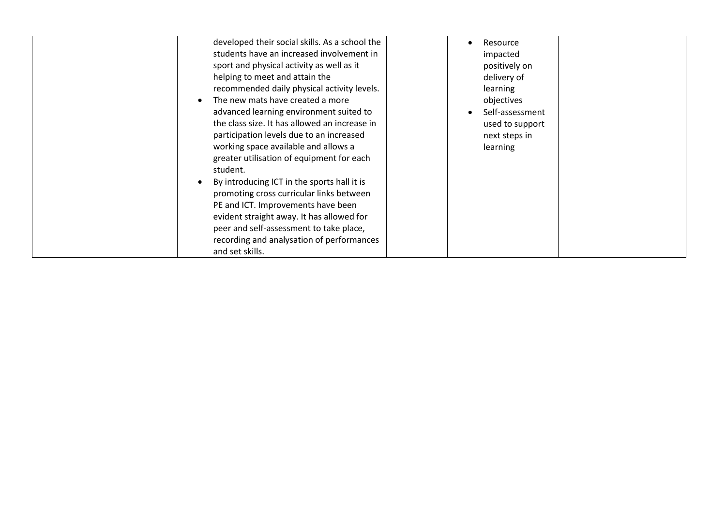| developed their social skills. As a school the<br>students have an increased involvement in<br>sport and physical activity as well as it<br>helping to meet and attain the<br>recommended daily physical activity levels.<br>The new mats have created a more<br>$\bullet$<br>advanced learning environment suited to<br>the class size. It has allowed an increase in<br>participation levels due to an increased<br>working space available and allows a<br>greater utilisation of equipment for each<br>student.<br>By introducing ICT in the sports hall it is<br>promoting cross curricular links between<br>PE and ICT. Improvements have been<br>evident straight away. It has allowed for<br>peer and self-assessment to take place,<br>recording and analysation of performances<br>and set skills. | Resource<br>impacted<br>positively on<br>delivery of<br>learning<br>objectives<br>Self-assessment<br>used to support<br>next steps in<br>learning |
|--------------------------------------------------------------------------------------------------------------------------------------------------------------------------------------------------------------------------------------------------------------------------------------------------------------------------------------------------------------------------------------------------------------------------------------------------------------------------------------------------------------------------------------------------------------------------------------------------------------------------------------------------------------------------------------------------------------------------------------------------------------------------------------------------------------|---------------------------------------------------------------------------------------------------------------------------------------------------|
|--------------------------------------------------------------------------------------------------------------------------------------------------------------------------------------------------------------------------------------------------------------------------------------------------------------------------------------------------------------------------------------------------------------------------------------------------------------------------------------------------------------------------------------------------------------------------------------------------------------------------------------------------------------------------------------------------------------------------------------------------------------------------------------------------------------|---------------------------------------------------------------------------------------------------------------------------------------------------|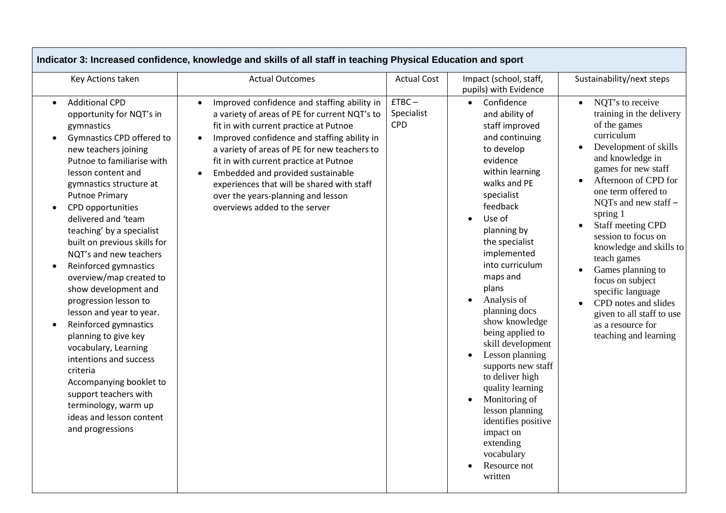| Key Actions taken                                                                                                                                                                                                                                                                                                                                                                                                                                                                                                                                                                                                                                                                                                                           | <b>Actual Outcomes</b>                                                                                                                                                                                                                                                                                                                                                                                                                                 | <b>Actual Cost</b>                   | Impact (school, staff,<br>pupils) with Evidence                                                                                                                                                                                                                                                                                                                                                                                                                                                                                                                                                           | Sustainability/next steps                                                                                                                                                                                                                                                                                                                                                                                                                                                                                                                                 |
|---------------------------------------------------------------------------------------------------------------------------------------------------------------------------------------------------------------------------------------------------------------------------------------------------------------------------------------------------------------------------------------------------------------------------------------------------------------------------------------------------------------------------------------------------------------------------------------------------------------------------------------------------------------------------------------------------------------------------------------------|--------------------------------------------------------------------------------------------------------------------------------------------------------------------------------------------------------------------------------------------------------------------------------------------------------------------------------------------------------------------------------------------------------------------------------------------------------|--------------------------------------|-----------------------------------------------------------------------------------------------------------------------------------------------------------------------------------------------------------------------------------------------------------------------------------------------------------------------------------------------------------------------------------------------------------------------------------------------------------------------------------------------------------------------------------------------------------------------------------------------------------|-----------------------------------------------------------------------------------------------------------------------------------------------------------------------------------------------------------------------------------------------------------------------------------------------------------------------------------------------------------------------------------------------------------------------------------------------------------------------------------------------------------------------------------------------------------|
| <b>Additional CPD</b><br>opportunity for NQT's in<br>gymnastics<br>Gymnastics CPD offered to<br>new teachers joining<br>Putnoe to familiarise with<br>lesson content and<br>gymnastics structure at<br><b>Putnoe Primary</b><br>CPD opportunities<br>delivered and 'team<br>teaching' by a specialist<br>built on previous skills for<br>NOT's and new teachers<br>Reinforced gymnastics<br>overview/map created to<br>show development and<br>progression lesson to<br>lesson and year to year.<br>Reinforced gymnastics<br>planning to give key<br>vocabulary, Learning<br>intentions and success<br>criteria<br>Accompanying booklet to<br>support teachers with<br>terminology, warm up<br>ideas and lesson content<br>and progressions | Improved confidence and staffing ability in<br>a variety of areas of PE for current NQT's to<br>fit in with current practice at Putnoe<br>Improved confidence and staffing ability in<br>a variety of areas of PE for new teachers to<br>fit in with current practice at Putnoe<br>Embedded and provided sustainable<br>$\bullet$<br>experiences that will be shared with staff<br>over the years-planning and lesson<br>overviews added to the server | $ETBC -$<br>Specialist<br><b>CPD</b> | Confidence<br>$\bullet$<br>and ability of<br>staff improved<br>and continuing<br>to develop<br>evidence<br>within learning<br>walks and PE<br>specialist<br>feedback<br>Use of<br>$\bullet$<br>planning by<br>the specialist<br>implemented<br>into curriculum<br>maps and<br>plans<br>Analysis of<br>planning docs<br>show knowledge<br>being applied to<br>skill development<br>Lesson planning<br>supports new staff<br>to deliver high<br>quality learning<br>Monitoring of<br>$\bullet$<br>lesson planning<br>identifies positive<br>impact on<br>extending<br>vocabulary<br>Resource not<br>written | NQT's to receive<br>$\bullet$<br>training in the delivery<br>of the games<br>curriculum<br>Development of skills<br>and knowledge in<br>games for new staff<br>Afternoon of CPD for<br>$\bullet$<br>one term offered to<br>NQTs and new staff -<br>spring 1<br>Staff meeting CPD<br>$\bullet$<br>session to focus on<br>knowledge and skills to<br>teach games<br>Games planning to<br>$\bullet$<br>focus on subject<br>specific language<br>CPD notes and slides<br>$\bullet$<br>given to all staff to use<br>as a resource for<br>teaching and learning |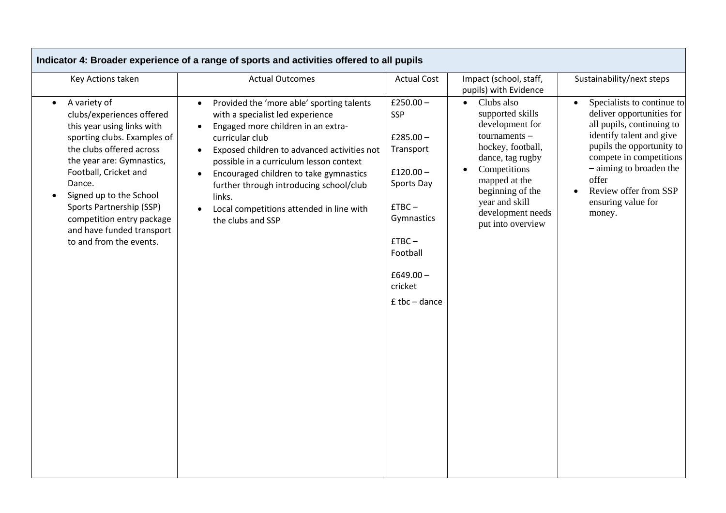|                                                                                                                                                                                                                                                                                                                                                | Indicator 4: Broader experience of a range of sports and activities offered to all pupils                                                                                                                                                                                                                                                                                                                                                            |                                                                                                                                                                           |                                                                                                                                                                                                                                             |                                                                                                                                                                                                                                                                                    |
|------------------------------------------------------------------------------------------------------------------------------------------------------------------------------------------------------------------------------------------------------------------------------------------------------------------------------------------------|------------------------------------------------------------------------------------------------------------------------------------------------------------------------------------------------------------------------------------------------------------------------------------------------------------------------------------------------------------------------------------------------------------------------------------------------------|---------------------------------------------------------------------------------------------------------------------------------------------------------------------------|---------------------------------------------------------------------------------------------------------------------------------------------------------------------------------------------------------------------------------------------|------------------------------------------------------------------------------------------------------------------------------------------------------------------------------------------------------------------------------------------------------------------------------------|
| Key Actions taken                                                                                                                                                                                                                                                                                                                              | <b>Actual Outcomes</b>                                                                                                                                                                                                                                                                                                                                                                                                                               | <b>Actual Cost</b>                                                                                                                                                        | Impact (school, staff,<br>pupils) with Evidence                                                                                                                                                                                             | Sustainability/next steps                                                                                                                                                                                                                                                          |
| A variety of<br>clubs/experiences offered<br>this year using links with<br>sporting clubs. Examples of<br>the clubs offered across<br>the year are: Gymnastics,<br>Football, Cricket and<br>Dance.<br>Signed up to the School<br>Sports Partnership (SSP)<br>competition entry package<br>and have funded transport<br>to and from the events. | Provided the 'more able' sporting talents<br>$\bullet$<br>with a specialist led experience<br>Engaged more children in an extra-<br>$\bullet$<br>curricular club<br>Exposed children to advanced activities not<br>$\bullet$<br>possible in a curriculum lesson context<br>Encouraged children to take gymnastics<br>$\bullet$<br>further through introducing school/club<br>links.<br>Local competitions attended in line with<br>the clubs and SSP | £250.00 $-$<br>SSP<br>£285.00 $-$<br>Transport<br>$£120.00-$<br>Sports Day<br>$ETBC -$<br>Gymnastics<br>$ETBC -$<br>Football<br>£649.00 $-$<br>cricket<br>$E$ tbc – dance | Clubs also<br>$\bullet$<br>supported skills<br>development for<br>tournaments $-$<br>hockey, football,<br>dance, tag rugby<br>Competitions<br>mapped at the<br>beginning of the<br>year and skill<br>development needs<br>put into overview | Specialists to continue to<br>$\bullet$<br>deliver opportunities for<br>all pupils, continuing to<br>identify talent and give<br>pupils the opportunity to<br>compete in competitions<br>- aiming to broaden the<br>offer<br>Review offer from SSP<br>ensuring value for<br>money. |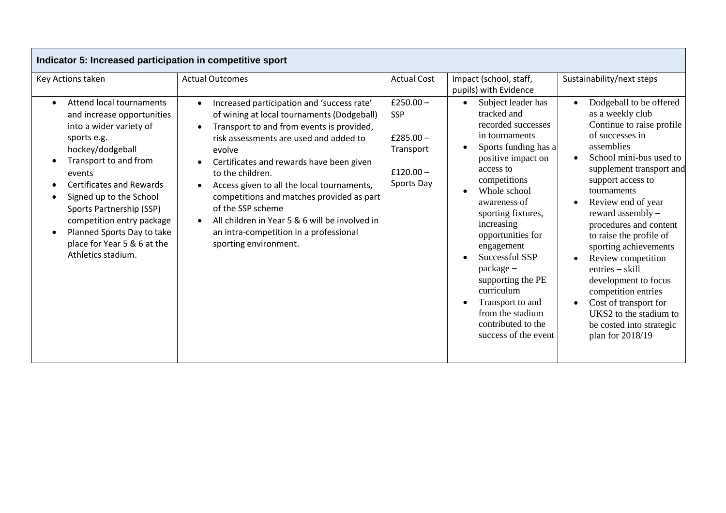| Indicator 5: Increased participation in competitive sport                                                                                                                                                                                                                                                                                                                                          |                                                                                                                                                                                                                                                                                                                                                                                                                                                                                                             |                                                                            |                                                                                                                                                                                                                                                                                                                                                                                                                                               |                                                                                                                                                                                                                                                                                                                                                                                                                                                                                                                                         |
|----------------------------------------------------------------------------------------------------------------------------------------------------------------------------------------------------------------------------------------------------------------------------------------------------------------------------------------------------------------------------------------------------|-------------------------------------------------------------------------------------------------------------------------------------------------------------------------------------------------------------------------------------------------------------------------------------------------------------------------------------------------------------------------------------------------------------------------------------------------------------------------------------------------------------|----------------------------------------------------------------------------|-----------------------------------------------------------------------------------------------------------------------------------------------------------------------------------------------------------------------------------------------------------------------------------------------------------------------------------------------------------------------------------------------------------------------------------------------|-----------------------------------------------------------------------------------------------------------------------------------------------------------------------------------------------------------------------------------------------------------------------------------------------------------------------------------------------------------------------------------------------------------------------------------------------------------------------------------------------------------------------------------------|
| Key Actions taken                                                                                                                                                                                                                                                                                                                                                                                  | <b>Actual Outcomes</b>                                                                                                                                                                                                                                                                                                                                                                                                                                                                                      | <b>Actual Cost</b>                                                         | Impact (school, staff,<br>pupils) with Evidence                                                                                                                                                                                                                                                                                                                                                                                               | Sustainability/next steps                                                                                                                                                                                                                                                                                                                                                                                                                                                                                                               |
| <b>Attend local tournaments</b><br>$\bullet$<br>and increase opportunities<br>into a wider variety of<br>sports e.g.<br>hockey/dodgeball<br>Transport to and from<br>events<br><b>Certificates and Rewards</b><br>Signed up to the School<br>$\bullet$<br>Sports Partnership (SSP)<br>competition entry package<br>Planned Sports Day to take<br>place for Year 5 & 6 at the<br>Athletics stadium. | Increased participation and 'success rate'<br>of wining at local tournaments (Dodgeball)<br>Transport to and from events is provided,<br>risk assessments are used and added to<br>evolve<br>Certificates and rewards have been given<br>to the children.<br>Access given to all the local tournaments,<br>competitions and matches provided as part<br>of the SSP scheme<br>All children in Year 5 & 6 will be involved in<br>$\bullet$<br>an intra-competition in a professional<br>sporting environment. | £250.00 $-$<br>SSP<br>£285.00 $-$<br>Transport<br>$£120.00-$<br>Sports Day | Subject leader has<br>$\bullet$<br>tracked and<br>recorded successes<br>in tournaments<br>Sports funding has a<br>positive impact on<br>access to<br>competitions<br>Whole school<br>$\bullet$<br>awareness of<br>sporting fixtures,<br>increasing<br>opportunities for<br>engagement<br>Successful SSP<br>package -<br>supporting the PE<br>curriculum<br>Transport to and<br>from the stadium<br>contributed to the<br>success of the event | Dodgeball to be offered<br>as a weekly club<br>Continue to raise profile<br>of successes in<br>assemblies<br>School mini-bus used to<br>$\bullet$<br>supplement transport and<br>support access to<br>tournaments<br>Review end of year<br>reward assembly -<br>procedures and content<br>to raise the profile of<br>sporting achievements<br>Review competition<br>$entries - skill$<br>development to focus<br>competition entries<br>Cost of transport for<br>UKS2 to the stadium to<br>be costed into strategic<br>plan for 2018/19 |